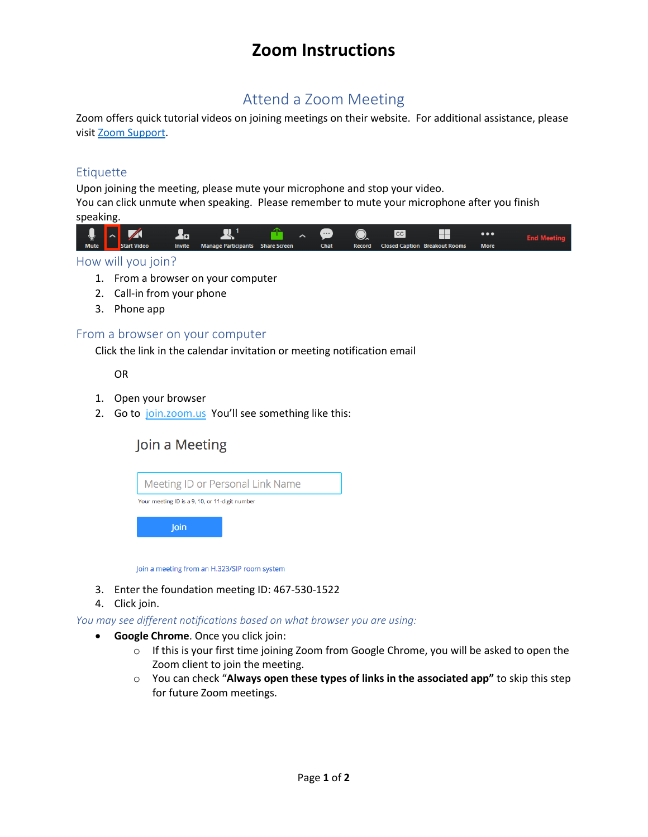# **Zoom Instructions**

## Attend a Zoom Meeting

Zoom offers quick tutorial videos on joining meetings on their website. For additional assistance, please visi[t Zoom Support.](https://support.zoom.us/hc/en-us/articles/206618765-Zoom-Video-Tutorials)

### **Etiquette**

Upon joining the meeting, please mute your microphone and stop your video. You can click unmute when speaking. Please remember to mute your microphone after you finish speaking.



#### How will you join?

- 1. From a browser on your computer
- 2. Call-in from your phone
- 3. Phone app

#### From a browser on your computer

Click the link in the calendar invitation or meeting notification email

OR

- 1. Open your browser
- 2. Go to [join.zoom.us](https://join.zoom.us/) You'll see something like this:

### Join a Meeting



Join a meeting from an H.323/SIP room system

- 3. Enter the foundation meeting ID: 467-530-1522
- 4. Click join.

*You may see different notifications based on what browser you are using:*

- **Google Chrome**. Once you click join:
	- $\circ$  If this is your first time joining Zoom from Google Chrome, you will be asked to open the Zoom client to join the meeting.
	- o You can check "**Always open these types of links in the associated app"** to skip this step for future Zoom meetings.